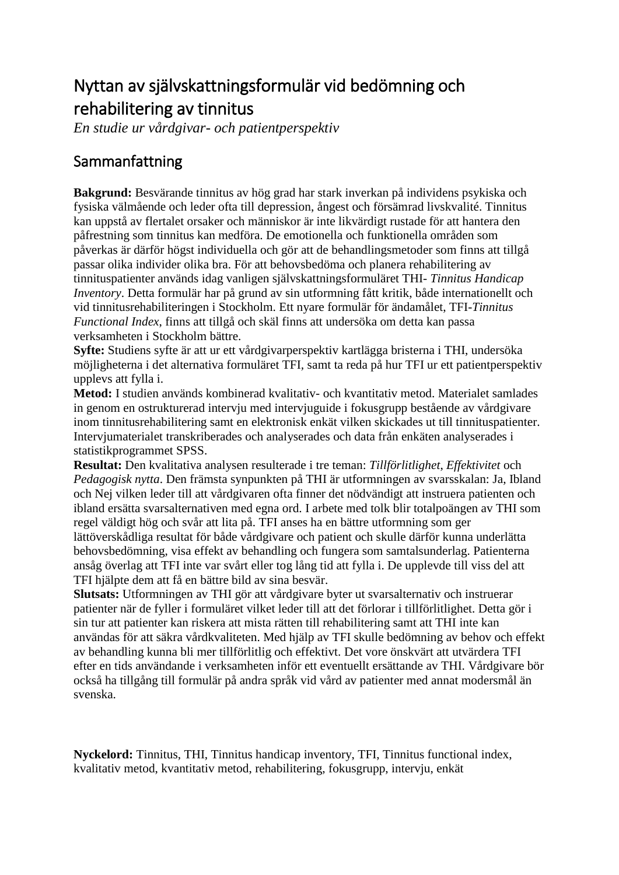## Nyttan av självskattningsformulär vid bedömning och rehabilitering av tinnitus

*En studie ur vårdgivar- och patientperspektiv*

## Sammanfattning

**Bakgrund:** Besvärande tinnitus av hög grad har stark inverkan på individens psykiska och fysiska välmående och leder ofta till depression, ångest och försämrad livskvalité. Tinnitus kan uppstå av flertalet orsaker och människor är inte likvärdigt rustade för att hantera den påfrestning som tinnitus kan medföra. De emotionella och funktionella områden som påverkas är därför högst individuella och gör att de behandlingsmetoder som finns att tillgå passar olika individer olika bra. För att behovsbedöma och planera rehabilitering av tinnituspatienter används idag vanligen självskattningsformuläret THI- *Tinnitus Handicap Inventory*. Detta formulär har på grund av sin utformning fått kritik, både internationellt och vid tinnitusrehabiliteringen i Stockholm. Ett nyare formulär för ändamålet, TFI*-Tinnitus Functional Index*, finns att tillgå och skäl finns att undersöka om detta kan passa verksamheten i Stockholm bättre.

**Syfte:** Studiens syfte är att ur ett vårdgivarperspektiv kartlägga bristerna i THI, undersöka möjligheterna i det alternativa formuläret TFI*,* samt ta reda på hur TFI ur ett patientperspektiv upplevs att fylla i.

**Metod:** I studien används kombinerad kvalitativ- och kvantitativ metod. Materialet samlades in genom en ostrukturerad intervju med intervjuguide i fokusgrupp bestående av vårdgivare inom tinnitusrehabilitering samt en elektronisk enkät vilken skickades ut till tinnituspatienter. Intervjumaterialet transkriberades och analyserades och data från enkäten analyserades i statistikprogrammet SPSS.

**Resultat:** Den kvalitativa analysen resulterade i tre teman: *Tillförlitlighet*, *Effektivitet* och *Pedagogisk nytta*. Den främsta synpunkten på THI är utformningen av svarsskalan: Ja, Ibland och Nej vilken leder till att vårdgivaren ofta finner det nödvändigt att instruera patienten och ibland ersätta svarsalternativen med egna ord. I arbete med tolk blir totalpoängen av THI som regel väldigt hög och svår att lita på. TFI anses ha en bättre utformning som ger lättöverskådliga resultat för både vårdgivare och patient och skulle därför kunna underlätta behovsbedömning, visa effekt av behandling och fungera som samtalsunderlag. Patienterna ansåg överlag att TFI inte var svårt eller tog lång tid att fylla i. De upplevde till viss del att TFI hjälpte dem att få en bättre bild av sina besvär.

**Slutsats:** Utformningen av THI gör att vårdgivare byter ut svarsalternativ och instruerar patienter när de fyller i formuläret vilket leder till att det förlorar i tillförlitlighet. Detta gör i sin tur att patienter kan riskera att mista rätten till rehabilitering samt att THI inte kan användas för att säkra vårdkvaliteten. Med hjälp av TFI skulle bedömning av behov och effekt av behandling kunna bli mer tillförlitlig och effektivt. Det vore önskvärt att utvärdera TFI efter en tids användande i verksamheten inför ett eventuellt ersättande av THI. Vårdgivare bör också ha tillgång till formulär på andra språk vid vård av patienter med annat modersmål än svenska.

**Nyckelord:** Tinnitus, THI, Tinnitus handicap inventory, TFI, Tinnitus functional index, kvalitativ metod, kvantitativ metod, rehabilitering, fokusgrupp, intervju, enkät